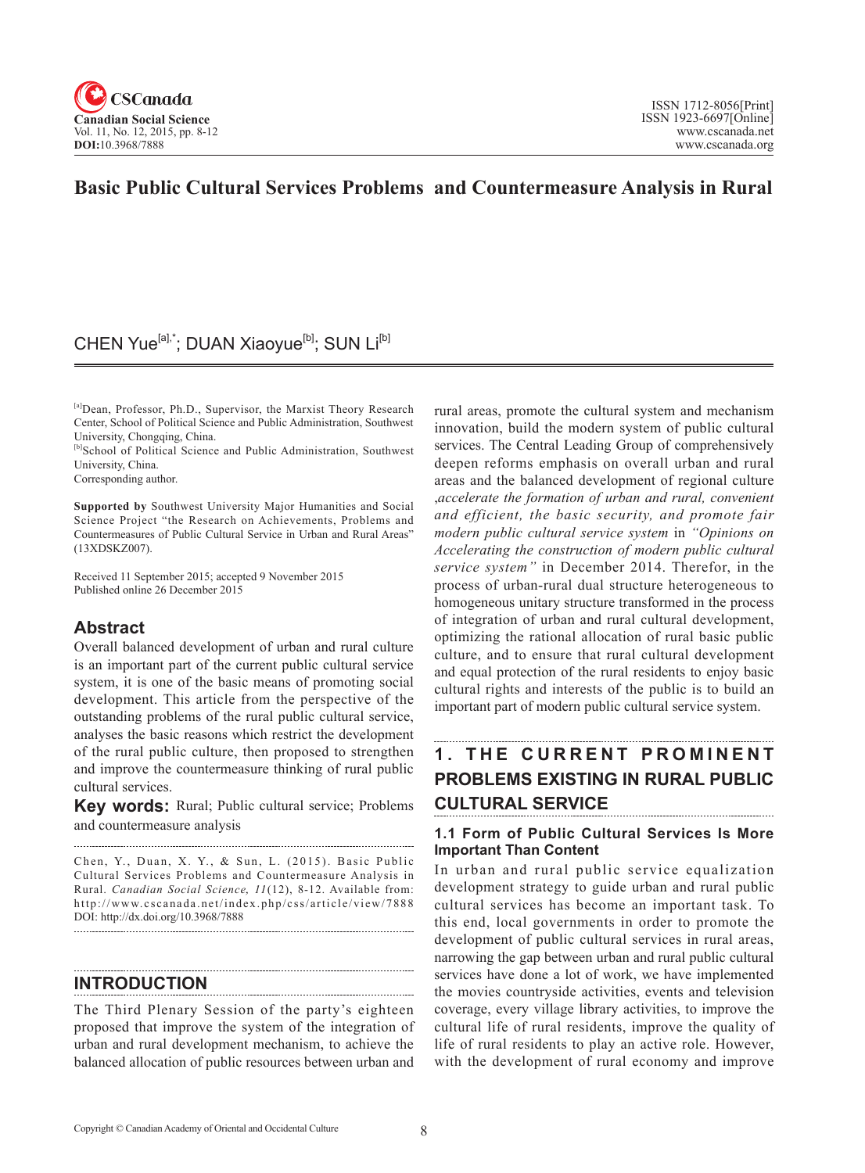

### **Basic Public Cultural Services Problems and Countermeasure Analysis in Rural**

### CHEN Yue<sup>[a],\*</sup>; DUAN Xiaoyue<sup>[b]</sup>; SUN Li<sup>[b]</sup>

[a]Dean, Professor, Ph.D., Supervisor, the Marxist Theory Research Center, School of Political Science and Public Administration, Southwest University, Chongqing, China.

[b]School of Political Science and Public Administration, Southwest University, China.

Corresponding author.

**Supported by** Southwest University Major Humanities and Social Science Project "the Research on Achievements, Problems and Countermeasures of Public Cultural Service in Urban and Rural Areas" (13XDSKZ007).

Received 11 September 2015; accepted 9 November 2015 Published online 26 December 2015

### **Abstract**

Overall balanced development of urban and rural culture is an important part of the current public cultural service system, it is one of the basic means of promoting social development. This article from the perspective of the outstanding problems of the rural public cultural service, analyses the basic reasons which restrict the development of the rural public culture, then proposed to strengthen and improve the countermeasure thinking of rural public cultural services.

**Key words:** Rural; Public cultural service; Problems and countermeasure analysis

Chen, Y., Duan, X. Y., & Sun, L. (2015). Basic Public Cultural Services Problems and Countermeasure Analysis in Rural. *Canadian Social Science*, 11(12), 8-12. Available from: http://www.cscanada.net/index.php/css/article/view/7888 DOI: http://dx.doi.org/10.3968/7888

### **INTRODUCTION**

The Third Plenary Session of the party's eighteen proposed that improve the system of the integration of urban and rural development mechanism, to achieve the balanced allocation of public resources between urban and

rural areas, promote the cultural system and mechanism innovation, build the modern system of public cultural services. The Central Leading Group of comprehensively deepen reforms emphasis on overall urban and rural areas and the balanced development of regional culture ,*accelerate the formation of urban and rural, convenient and efficient, the basic security, and promote fair modern public cultural service system* in *"Opinions on Accelerating the construction of modern public cultural service system"* in December 2014. Therefor, in the process of urban-rural dual structure heterogeneous to homogeneous unitary structure transformed in the process of integration of urban and rural cultural development, optimizing the rational allocation of rural basic public culture, and to ensure that rural cultural development and equal protection of the rural residents to enjoy basic cultural rights and interests of the public is to build an important part of modern public cultural service system.

## **1. THE CURRENT PROMINENT PROBLEMS EXISTING IN RURAL PUBLIC CULTURAL SERVICE**

#### **1.1 Form of Public Cultural Services Is More Important Than Content**

In urban and rural public service equalization development strategy to guide urban and rural public cultural services has become an important task. To this end, local governments in order to promote the development of public cultural services in rural areas, narrowing the gap between urban and rural public cultural services have done a lot of work, we have implemented the movies countryside activities, events and television coverage, every village library activities, to improve the cultural life of rural residents, improve the quality of life of rural residents to play an active role. However, with the development of rural economy and improve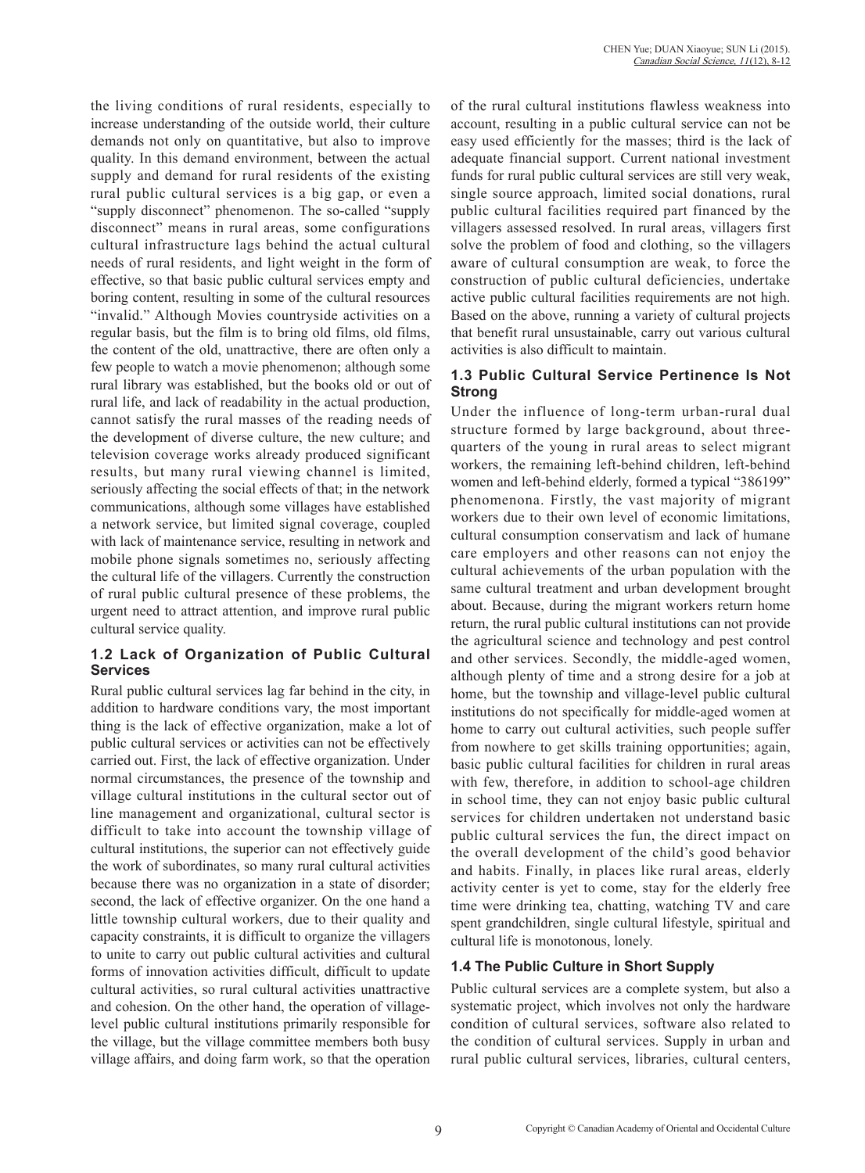the living conditions of rural residents, especially to increase understanding of the outside world, their culture demands not only on quantitative, but also to improve quality. In this demand environment, between the actual supply and demand for rural residents of the existing rural public cultural services is a big gap, or even a "supply disconnect" phenomenon. The so-called "supply disconnect" means in rural areas, some configurations cultural infrastructure lags behind the actual cultural needs of rural residents, and light weight in the form of effective, so that basic public cultural services empty and boring content, resulting in some of the cultural resources "invalid." Although Movies countryside activities on a regular basis, but the film is to bring old films, old films, the content of the old, unattractive, there are often only a few people to watch a movie phenomenon; although some rural library was established, but the books old or out of rural life, and lack of readability in the actual production, cannot satisfy the rural masses of the reading needs of the development of diverse culture, the new culture; and television coverage works already produced significant results, but many rural viewing channel is limited, seriously affecting the social effects of that; in the network communications, although some villages have established a network service, but limited signal coverage, coupled with lack of maintenance service, resulting in network and mobile phone signals sometimes no, seriously affecting the cultural life of the villagers. Currently the construction of rural public cultural presence of these problems, the urgent need to attract attention, and improve rural public cultural service quality.

#### **1.2 Lack of Organization of Public Cultural Services**

Rural public cultural services lag far behind in the city, in addition to hardware conditions vary, the most important thing is the lack of effective organization, make a lot of public cultural services or activities can not be effectively carried out. First, the lack of effective organization. Under normal circumstances, the presence of the township and village cultural institutions in the cultural sector out of line management and organizational, cultural sector is difficult to take into account the township village of cultural institutions, the superior can not effectively guide the work of subordinates, so many rural cultural activities because there was no organization in a state of disorder; second, the lack of effective organizer. On the one hand a little township cultural workers, due to their quality and capacity constraints, it is difficult to organize the villagers to unite to carry out public cultural activities and cultural forms of innovation activities difficult, difficult to update cultural activities, so rural cultural activities unattractive and cohesion. On the other hand, the operation of villagelevel public cultural institutions primarily responsible for the village, but the village committee members both busy village affairs, and doing farm work, so that the operation of the rural cultural institutions flawless weakness into account, resulting in a public cultural service can not be easy used efficiently for the masses; third is the lack of adequate financial support. Current national investment funds for rural public cultural services are still very weak, single source approach, limited social donations, rural public cultural facilities required part financed by the villagers assessed resolved. In rural areas, villagers first solve the problem of food and clothing, so the villagers aware of cultural consumption are weak, to force the construction of public cultural deficiencies, undertake active public cultural facilities requirements are not high. Based on the above, running a variety of cultural projects that benefit rural unsustainable, carry out various cultural activities is also difficult to maintain.

### **1.3 Public Cultural Service Pertinence Is Not Strong**

Under the influence of long-term urban-rural dual structure formed by large background, about threequarters of the young in rural areas to select migrant workers, the remaining left-behind children, left-behind women and left-behind elderly, formed a typical "386199" phenomenona. Firstly, the vast majority of migrant workers due to their own level of economic limitations, cultural consumption conservatism and lack of humane care employers and other reasons can not enjoy the cultural achievements of the urban population with the same cultural treatment and urban development brought about. Because, during the migrant workers return home return, the rural public cultural institutions can not provide the agricultural science and technology and pest control and other services. Secondly, the middle-aged women, although plenty of time and a strong desire for a job at home, but the township and village-level public cultural institutions do not specifically for middle-aged women at home to carry out cultural activities, such people suffer from nowhere to get skills training opportunities; again, basic public cultural facilities for children in rural areas with few, therefore, in addition to school-age children in school time, they can not enjoy basic public cultural services for children undertaken not understand basic public cultural services the fun, the direct impact on the overall development of the child's good behavior and habits. Finally, in places like rural areas, elderly activity center is yet to come, stay for the elderly free time were drinking tea, chatting, watching TV and care spent grandchildren, single cultural lifestyle, spiritual and cultural life is monotonous, lonely.

### **1.4 The Public Culture in Short Supply**

Public cultural services are a complete system, but also a systematic project, which involves not only the hardware condition of cultural services, software also related to the condition of cultural services. Supply in urban and rural public cultural services, libraries, cultural centers,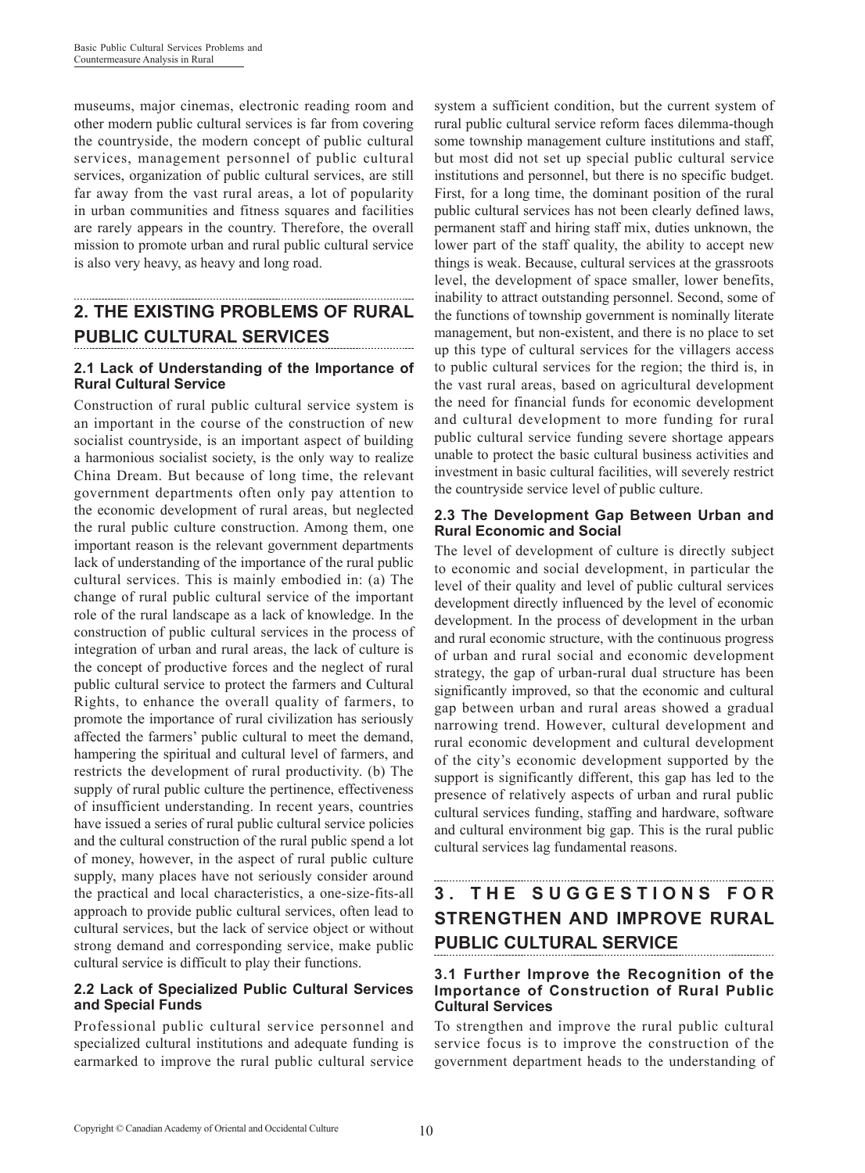museums, major cinemas, electronic reading room and other modern public cultural services is far from covering the countryside, the modern concept of public cultural services, management personnel of public cultural services, organization of public cultural services, are still far away from the vast rural areas, a lot of popularity in urban communities and fitness squares and facilities are rarely appears in the country. Therefore, the overall mission to promote urban and rural public cultural service is also very heavy, as heavy and long road.

## **2. THE EXISTING PROBLEMS OF RURAL PUBLIC CULTURAL SERVICES**

#### **2.1 Lack of Understanding of the Importance of Rural Cultural Service**

Construction of rural public cultural service system is an important in the course of the construction of new socialist countryside, is an important aspect of building a harmonious socialist society, is the only way to realize China Dream. But because of long time, the relevant government departments often only pay attention to the economic development of rural areas, but neglected the rural public culture construction. Among them, one important reason is the relevant government departments lack of understanding of the importance of the rural public cultural services. This is mainly embodied in: (a) The change of rural public cultural service of the important role of the rural landscape as a lack of knowledge. In the construction of public cultural services in the process of integration of urban and rural areas, the lack of culture is the concept of productive forces and the neglect of rural public cultural service to protect the farmers and Cultural Rights, to enhance the overall quality of farmers, to promote the importance of rural civilization has seriously affected the farmers' public cultural to meet the demand, hampering the spiritual and cultural level of farmers, and restricts the development of rural productivity. (b) The supply of rural public culture the pertinence, effectiveness of insufficient understanding. In recent years, countries have issued a series of rural public cultural service policies and the cultural construction of the rural public spend a lot of money, however, in the aspect of rural public culture supply, many places have not seriously consider around the practical and local characteristics, a one-size-fits-all approach to provide public cultural services, often lead to cultural services, but the lack of service object or without strong demand and corresponding service, make public cultural service is difficult to play their functions.

#### **2.2 Lack of Specialized Public Cultural Services and Special Funds**

Professional public cultural service personnel and specialized cultural institutions and adequate funding is earmarked to improve the rural public cultural service system a sufficient condition, but the current system of rural public cultural service reform faces dilemma-though some township management culture institutions and staff, but most did not set up special public cultural service institutions and personnel, but there is no specific budget. First, for a long time, the dominant position of the rural public cultural services has not been clearly defined laws, permanent staff and hiring staff mix, duties unknown, the lower part of the staff quality, the ability to accept new things is weak. Because, cultural services at the grassroots level, the development of space smaller, lower benefits, inability to attract outstanding personnel. Second, some of the functions of township government is nominally literate management, but non-existent, and there is no place to set up this type of cultural services for the villagers access to public cultural services for the region; the third is, in the vast rural areas, based on agricultural development the need for financial funds for economic development and cultural development to more funding for rural public cultural service funding severe shortage appears unable to protect the basic cultural business activities and investment in basic cultural facilities, will severely restrict the countryside service level of public culture.

#### **2.3 The Development Gap Between Urban and Rural Economic and Social**

The level of development of culture is directly subject to economic and social development, in particular the level of their quality and level of public cultural services development directly influenced by the level of economic development. In the process of development in the urban and rural economic structure, with the continuous progress of urban and rural social and economic development strategy, the gap of urban-rural dual structure has been significantly improved, so that the economic and cultural gap between urban and rural areas showed a gradual narrowing trend. However, cultural development and rural economic development and cultural development of the city's economic development supported by the support is significantly different, this gap has led to the presence of relatively aspects of urban and rural public cultural services funding, staffing and hardware, software and cultural environment big gap. This is the rural public cultural services lag fundamental reasons.

# **3 . T H E S U G G E S T I O N S F O R STRENGTHEN AND IMPROVE RURAL PUBLIC CULTURAL SERVICE**

#### **3.1 Further Improve the Recognition of the Importance of Construction of Rural Public Cultural Services**

To strengthen and improve the rural public cultural service focus is to improve the construction of the government department heads to the understanding of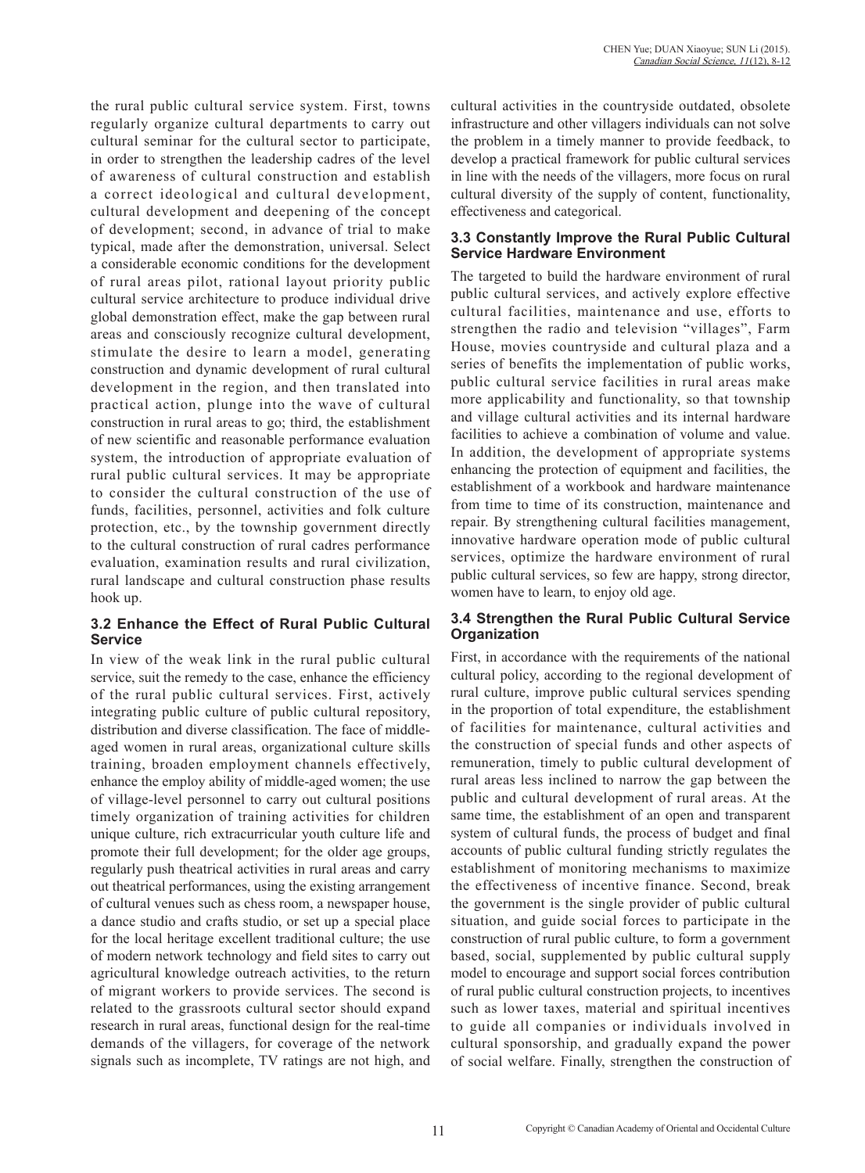the rural public cultural service system. First, towns regularly organize cultural departments to carry out cultural seminar for the cultural sector to participate, in order to strengthen the leadership cadres of the level of awareness of cultural construction and establish a correct ideological and cultural development, cultural development and deepening of the concept of development; second, in advance of trial to make typical, made after the demonstration, universal. Select a considerable economic conditions for the development of rural areas pilot, rational layout priority public cultural service architecture to produce individual drive global demonstration effect, make the gap between rural areas and consciously recognize cultural development, stimulate the desire to learn a model, generating construction and dynamic development of rural cultural development in the region, and then translated into practical action, plunge into the wave of cultural construction in rural areas to go; third, the establishment of new scientific and reasonable performance evaluation system, the introduction of appropriate evaluation of rural public cultural services. It may be appropriate to consider the cultural construction of the use of funds, facilities, personnel, activities and folk culture protection, etc., by the township government directly to the cultural construction of rural cadres performance evaluation, examination results and rural civilization, rural landscape and cultural construction phase results hook up.

#### **3.2 Enhance the Effect of Rural Public Cultural Service**

In view of the weak link in the rural public cultural service, suit the remedy to the case, enhance the efficiency of the rural public cultural services. First, actively integrating public culture of public cultural repository, distribution and diverse classification. The face of middleaged women in rural areas, organizational culture skills training, broaden employment channels effectively, enhance the employ ability of middle-aged women; the use of village-level personnel to carry out cultural positions timely organization of training activities for children unique culture, rich extracurricular youth culture life and promote their full development; for the older age groups, regularly push theatrical activities in rural areas and carry out theatrical performances, using the existing arrangement of cultural venues such as chess room, a newspaper house, a dance studio and crafts studio, or set up a special place for the local heritage excellent traditional culture; the use of modern network technology and field sites to carry out agricultural knowledge outreach activities, to the return of migrant workers to provide services. The second is related to the grassroots cultural sector should expand research in rural areas, functional design for the real-time demands of the villagers, for coverage of the network signals such as incomplete, TV ratings are not high, and

cultural activities in the countryside outdated, obsolete infrastructure and other villagers individuals can not solve the problem in a timely manner to provide feedback, to develop a practical framework for public cultural services in line with the needs of the villagers, more focus on rural cultural diversity of the supply of content, functionality, effectiveness and categorical.

#### **3.3 Constantly Improve the Rural Public Cultural Service Hardware Environment**

The targeted to build the hardware environment of rural public cultural services, and actively explore effective cultural facilities, maintenance and use, efforts to strengthen the radio and television "villages", Farm House, movies countryside and cultural plaza and a series of benefits the implementation of public works, public cultural service facilities in rural areas make more applicability and functionality, so that township and village cultural activities and its internal hardware facilities to achieve a combination of volume and value. In addition, the development of appropriate systems enhancing the protection of equipment and facilities, the establishment of a workbook and hardware maintenance from time to time of its construction, maintenance and repair. By strengthening cultural facilities management, innovative hardware operation mode of public cultural services, optimize the hardware environment of rural public cultural services, so few are happy, strong director, women have to learn, to enjoy old age.

#### **3.4 Strengthen the Rural Public Cultural Service Organization**

First, in accordance with the requirements of the national cultural policy, according to the regional development of rural culture, improve public cultural services spending in the proportion of total expenditure, the establishment of facilities for maintenance, cultural activities and the construction of special funds and other aspects of remuneration, timely to public cultural development of rural areas less inclined to narrow the gap between the public and cultural development of rural areas. At the same time, the establishment of an open and transparent system of cultural funds, the process of budget and final accounts of public cultural funding strictly regulates the establishment of monitoring mechanisms to maximize the effectiveness of incentive finance. Second, break the government is the single provider of public cultural situation, and guide social forces to participate in the construction of rural public culture, to form a government based, social, supplemented by public cultural supply model to encourage and support social forces contribution of rural public cultural construction projects, to incentives such as lower taxes, material and spiritual incentives to guide all companies or individuals involved in cultural sponsorship, and gradually expand the power of social welfare. Finally, strengthen the construction of